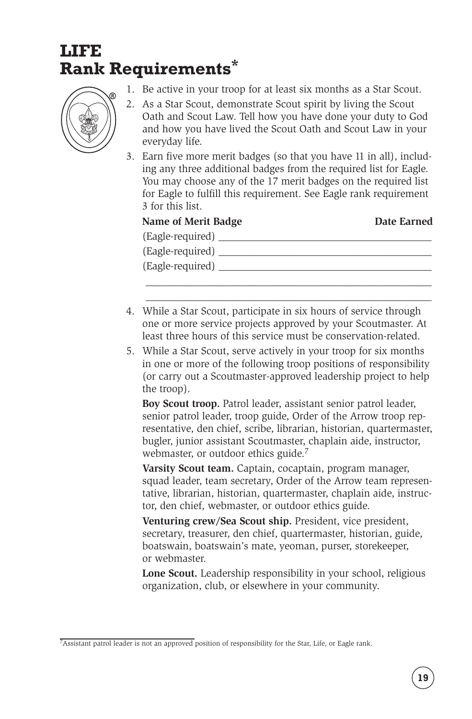## **LIFE Rank Requirements\***



- 1. Be active in your troop for at least six months as a Star Scout.
- 2. As a Star Scout, demonstrate Scout spirit by living the Scout Oath and Scout Law. Tell how you have done your duty to God and how you have lived the Scout Oath and Scout Law in your everyday life.
- 3. Earn five more merit badges (so that you have 11 in all), including any three additional badges from the required list for Eagle. You may choose any of the 17 merit badges on the required list for Eagle to fulfill this requirement. See Eagle rank requirement 3 for this list.

## **Name of Merit Badge <b>Date Earned**

| (Eagle-required) |  |
|------------------|--|
| (Eagle-required) |  |
| (Eagle-required) |  |
|                  |  |

\_\_\_\_\_\_\_\_\_\_\_\_\_\_\_\_\_\_\_\_\_\_\_\_\_\_\_\_\_\_\_\_\_\_\_\_\_\_\_\_\_\_\_\_\_\_\_\_\_\_\_\_\_\_\_

- 4. While a Star Scout, participate in six hours of service through one or more service projects approved by your Scoutmaster. At least three hours of this service must be conservation-related.
- 5. While a Star Scout, serve actively in your troop for six months in one or more of the following troop positions of responsibility (or carry out a Scoutmaster-approved leadership project to help the troop).

 **Boy Scout troop.** Patrol leader, assistant senior patrol leader, senior patrol leader, troop guide, Order of the Arrow troop representative, den chief, scribe, librarian, historian, quartermaster, bugler, junior assistant Scoutmaster, chaplain aide, instructor, webmaster, or outdoor ethics guide.<sup>7</sup>

 **Varsity Scout team.** Captain, cocaptain, program manager, squad leader, team secretary, Order of the Arrow team representative, librarian, historian, quartermaster, chaplain aide, instructor, den chief, webmaster, or outdoor ethics guide.

 **Venturing crew/Sea Scout ship.** President, vice president, secretary, treasurer, den chief, quartermaster, historian, guide, boatswain, boatswain's mate, yeoman, purser, storekeeper, or webmaster.

 **Lone Scout.** Leadership responsibility in your school, religious organization, club, or elsewhere in your community.

<sup>&</sup>lt;sup>7</sup>Assistant patrol leader is not an approved position of responsibility for the Star, Life, or Eagle rank.